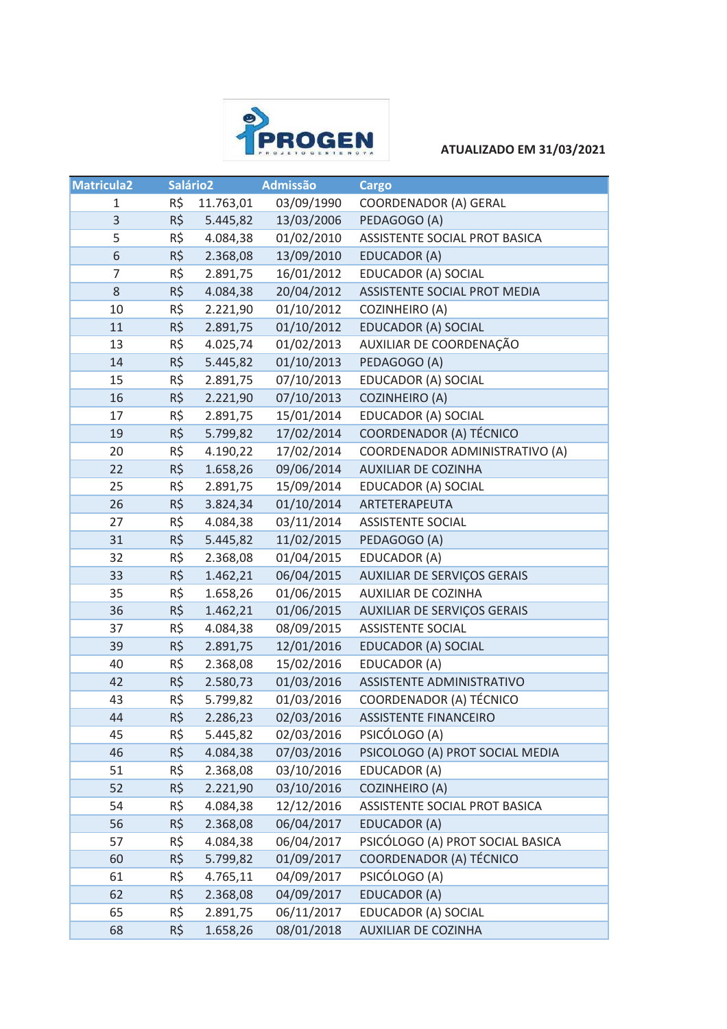

**ATUALIZADO EM 31/03/2021**

| <b>Matricula2</b> |           | Salário <sub>2</sub> | <b>Admissão</b> | <b>Cargo</b>                       |
|-------------------|-----------|----------------------|-----------------|------------------------------------|
| $\mathbf 1$       | R\$       | 11.763,01            | 03/09/1990      | <b>COORDENADOR (A) GERAL</b>       |
| $\mathsf{3}$      | R\$       | 5.445,82             | 13/03/2006      | PEDAGOGO (A)                       |
| 5                 | R\$       | 4.084,38             | 01/02/2010      | ASSISTENTE SOCIAL PROT BASICA      |
| $\,$ 6 $\,$       | $R\sharp$ | 2.368,08             | 13/09/2010      | EDUCADOR (A)                       |
| 7                 | R\$       | 2.891,75             | 16/01/2012      | EDUCADOR (A) SOCIAL                |
| 8                 | R\$       | 4.084,38             | 20/04/2012      | ASSISTENTE SOCIAL PROT MEDIA       |
| 10                | R\$       | 2.221,90             | 01/10/2012      | <b>COZINHEIRO (A)</b>              |
| 11                | R\$       | 2.891,75             | 01/10/2012      | <b>EDUCADOR (A) SOCIAL</b>         |
| 13                | R\$       | 4.025,74             | 01/02/2013      | AUXILIAR DE COORDENAÇÃO            |
| 14                | R\$       | 5.445,82             | 01/10/2013      | PEDAGOGO (A)                       |
| 15                | R\$       | 2.891,75             | 07/10/2013      | EDUCADOR (A) SOCIAL                |
| 16                | R\$       | 2.221,90             | 07/10/2013      | <b>COZINHEIRO (A)</b>              |
| 17                | R\$       | 2.891,75             | 15/01/2014      | EDUCADOR (A) SOCIAL                |
| 19                | R\$       | 5.799,82             | 17/02/2014      | COORDENADOR (A) TÉCNICO            |
| 20                | R\$       | 4.190,22             | 17/02/2014      | COORDENADOR ADMINISTRATIVO (A)     |
| 22                | $R\sharp$ | 1.658,26             | 09/06/2014      | AUXILIAR DE COZINHA                |
| 25                | R\$       | 2.891,75             | 15/09/2014      | EDUCADOR (A) SOCIAL                |
| 26                | $R\sharp$ | 3.824,34             | 01/10/2014      | ARTETERAPEUTA                      |
| 27                | R\$       | 4.084,38             | 03/11/2014      | <b>ASSISTENTE SOCIAL</b>           |
| 31                | R\$       | 5.445,82             | 11/02/2015      | PEDAGOGO (A)                       |
| 32                | R\$       | 2.368,08             | 01/04/2015      | EDUCADOR (A)                       |
| 33                | R\$       | 1.462,21             | 06/04/2015      | <b>AUXILIAR DE SERVIÇOS GERAIS</b> |
| 35                | R\$       | 1.658,26             | 01/06/2015      | AUXILIAR DE COZINHA                |
| 36                | R\$       | 1.462,21             | 01/06/2015      | AUXILIAR DE SERVIÇOS GERAIS        |
| 37                | R\$       | 4.084,38             | 08/09/2015      | <b>ASSISTENTE SOCIAL</b>           |
| 39                | R\$       | 2.891,75             | 12/01/2016      | EDUCADOR (A) SOCIAL                |
| 40                | R\$       | 2.368,08             | 15/02/2016      | EDUCADOR (A)                       |
| 42                | $R\zeta$  | 2.580,73             | 01/03/2016      | ASSISTENTE ADMINISTRATIVO          |
| 43                | R\$       | 5.799,82             | 01/03/2016      | COORDENADOR (A) TÉCNICO            |
| 44                | R\$       | 2.286,23             | 02/03/2016      | <b>ASSISTENTE FINANCEIRO</b>       |
| 45                | R\$       | 5.445,82             | 02/03/2016      | PSICÓLOGO (A)                      |
| 46                | R\$       | 4.084,38             | 07/03/2016      | PSICOLOGO (A) PROT SOCIAL MEDIA    |
| 51                | R\$       | 2.368,08             | 03/10/2016      | EDUCADOR (A)                       |
| 52                | R\$       | 2.221,90             | 03/10/2016      | <b>COZINHEIRO (A)</b>              |
| 54                | R\$       | 4.084,38             | 12/12/2016      | ASSISTENTE SOCIAL PROT BASICA      |
| 56                | R\$       | 2.368,08             | 06/04/2017      | EDUCADOR (A)                       |
| 57                | R\$       | 4.084,38             | 06/04/2017      | PSICÓLOGO (A) PROT SOCIAL BASICA   |
| 60                | R\$       | 5.799,82             | 01/09/2017      | COORDENADOR (A) TÉCNICO            |
| 61                | R\$       | 4.765,11             | 04/09/2017      | PSICÓLOGO (A)                      |
| 62                | R\$       | 2.368,08             | 04/09/2017      | EDUCADOR (A)                       |
| 65                | R\$       | 2.891,75             | 06/11/2017      | EDUCADOR (A) SOCIAL                |
| 68                | R\$       | 1.658,26             | 08/01/2018      | AUXILIAR DE COZINHA                |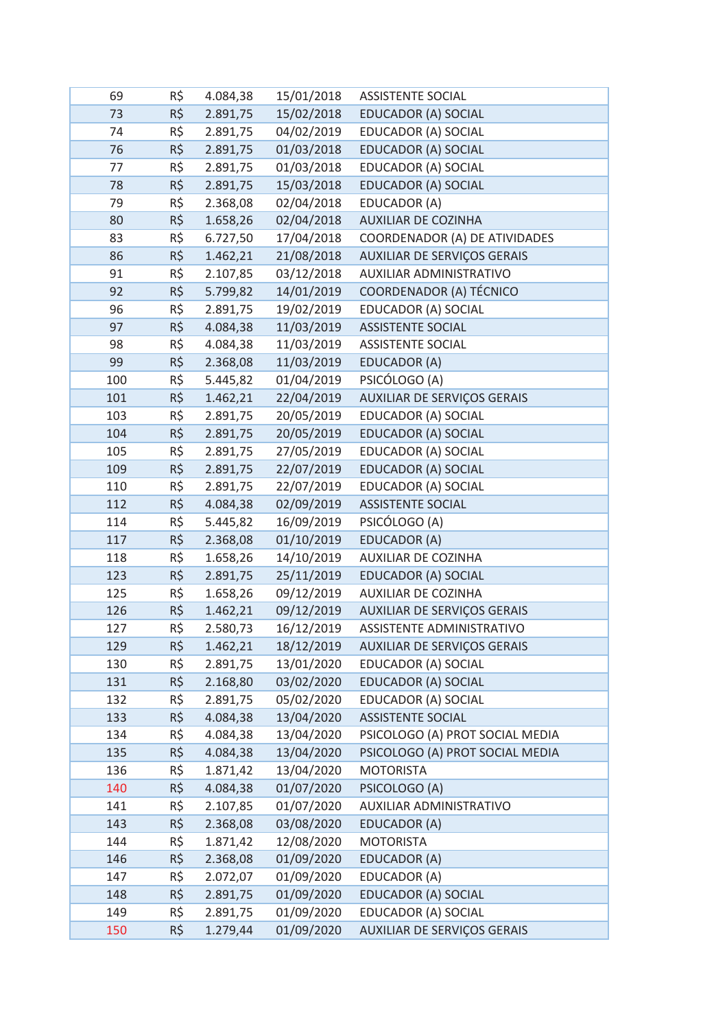| 69  | R\$       | 4.084,38 | 15/01/2018 | <b>ASSISTENTE SOCIAL</b>           |
|-----|-----------|----------|------------|------------------------------------|
| 73  | $R\sharp$ | 2.891,75 | 15/02/2018 | EDUCADOR (A) SOCIAL                |
| 74  | R\$       | 2.891,75 | 04/02/2019 | EDUCADOR (A) SOCIAL                |
| 76  | $R\zeta$  | 2.891,75 | 01/03/2018 | <b>EDUCADOR (A) SOCIAL</b>         |
| 77  | R\$       | 2.891,75 | 01/03/2018 | EDUCADOR (A) SOCIAL                |
| 78  | R\$       | 2.891,75 | 15/03/2018 | <b>EDUCADOR (A) SOCIAL</b>         |
| 79  | R\$       | 2.368,08 | 02/04/2018 | EDUCADOR (A)                       |
| 80  | R\$       | 1.658,26 | 02/04/2018 | AUXILIAR DE COZINHA                |
| 83  | R\$       | 6.727,50 | 17/04/2018 | COORDENADOR (A) DE ATIVIDADES      |
| 86  | R\$       | 1.462,21 | 21/08/2018 | <b>AUXILIAR DE SERVIÇOS GERAIS</b> |
| 91  | R\$       | 2.107,85 | 03/12/2018 | AUXILIAR ADMINISTRATIVO            |
| 92  | R\$       | 5.799,82 | 14/01/2019 | COORDENADOR (A) TÉCNICO            |
| 96  | R\$       | 2.891,75 | 19/02/2019 | EDUCADOR (A) SOCIAL                |
| 97  | R\$       | 4.084,38 | 11/03/2019 | <b>ASSISTENTE SOCIAL</b>           |
| 98  | R\$       | 4.084,38 | 11/03/2019 | <b>ASSISTENTE SOCIAL</b>           |
| 99  | R\$       | 2.368,08 | 11/03/2019 | EDUCADOR (A)                       |
| 100 | R\$       | 5.445,82 | 01/04/2019 | PSICÓLOGO (A)                      |
| 101 | R\$       | 1.462,21 | 22/04/2019 | AUXILIAR DE SERVIÇOS GERAIS        |
| 103 | R\$       | 2.891,75 | 20/05/2019 | EDUCADOR (A) SOCIAL                |
| 104 | $R\zeta$  | 2.891,75 | 20/05/2019 | EDUCADOR (A) SOCIAL                |
| 105 | R\$       | 2.891,75 | 27/05/2019 | EDUCADOR (A) SOCIAL                |
| 109 | R\$       | 2.891,75 | 22/07/2019 | EDUCADOR (A) SOCIAL                |
| 110 | R\$       | 2.891,75 | 22/07/2019 | EDUCADOR (A) SOCIAL                |
| 112 | R\$       | 4.084,38 | 02/09/2019 | <b>ASSISTENTE SOCIAL</b>           |
| 114 | R\$       | 5.445,82 | 16/09/2019 | PSICÓLOGO (A)                      |
| 117 | R\$       | 2.368,08 | 01/10/2019 | EDUCADOR (A)                       |
| 118 | R\$       | 1.658,26 | 14/10/2019 | AUXILIAR DE COZINHA                |
| 123 | R\$       | 2.891,75 | 25/11/2019 | <b>EDUCADOR (A) SOCIAL</b>         |
| 125 | R\$       | 1.658,26 | 09/12/2019 | <b>AUXILIAR DE COZINHA</b>         |
| 126 | R\$       | 1.462,21 | 09/12/2019 | AUXILIAR DE SERVIÇOS GERAIS        |
| 127 | R\$       | 2.580,73 | 16/12/2019 | ASSISTENTE ADMINISTRATIVO          |
| 129 | R\$       | 1.462,21 | 18/12/2019 | AUXILIAR DE SERVIÇOS GERAIS        |
| 130 | R\$       | 2.891,75 | 13/01/2020 | EDUCADOR (A) SOCIAL                |
| 131 | R\$       | 2.168,80 | 03/02/2020 | <b>EDUCADOR (A) SOCIAL</b>         |
| 132 | R\$       | 2.891,75 | 05/02/2020 | EDUCADOR (A) SOCIAL                |
| 133 | R\$       | 4.084,38 | 13/04/2020 | <b>ASSISTENTE SOCIAL</b>           |
| 134 | R\$       | 4.084,38 | 13/04/2020 | PSICOLOGO (A) PROT SOCIAL MEDIA    |
| 135 | R\$       | 4.084,38 | 13/04/2020 | PSICOLOGO (A) PROT SOCIAL MEDIA    |
| 136 | R\$       | 1.871,42 | 13/04/2020 | <b>MOTORISTA</b>                   |
| 140 | R\$       | 4.084,38 | 01/07/2020 | PSICOLOGO (A)                      |
| 141 | R\$       | 2.107,85 | 01/07/2020 | AUXILIAR ADMINISTRATIVO            |
| 143 | $R\zeta$  | 2.368,08 | 03/08/2020 | EDUCADOR (A)                       |
| 144 | R\$       | 1.871,42 | 12/08/2020 | <b>MOTORISTA</b>                   |
| 146 | R\$       | 2.368,08 | 01/09/2020 | EDUCADOR (A)                       |
| 147 | R\$       | 2.072,07 | 01/09/2020 | EDUCADOR (A)                       |
| 148 | R\$       | 2.891,75 | 01/09/2020 | EDUCADOR (A) SOCIAL                |
| 149 | R\$       | 2.891,75 | 01/09/2020 | EDUCADOR (A) SOCIAL                |
| 150 | $R\zeta$  | 1.279,44 | 01/09/2020 | <b>AUXILIAR DE SERVIÇOS GERAIS</b> |